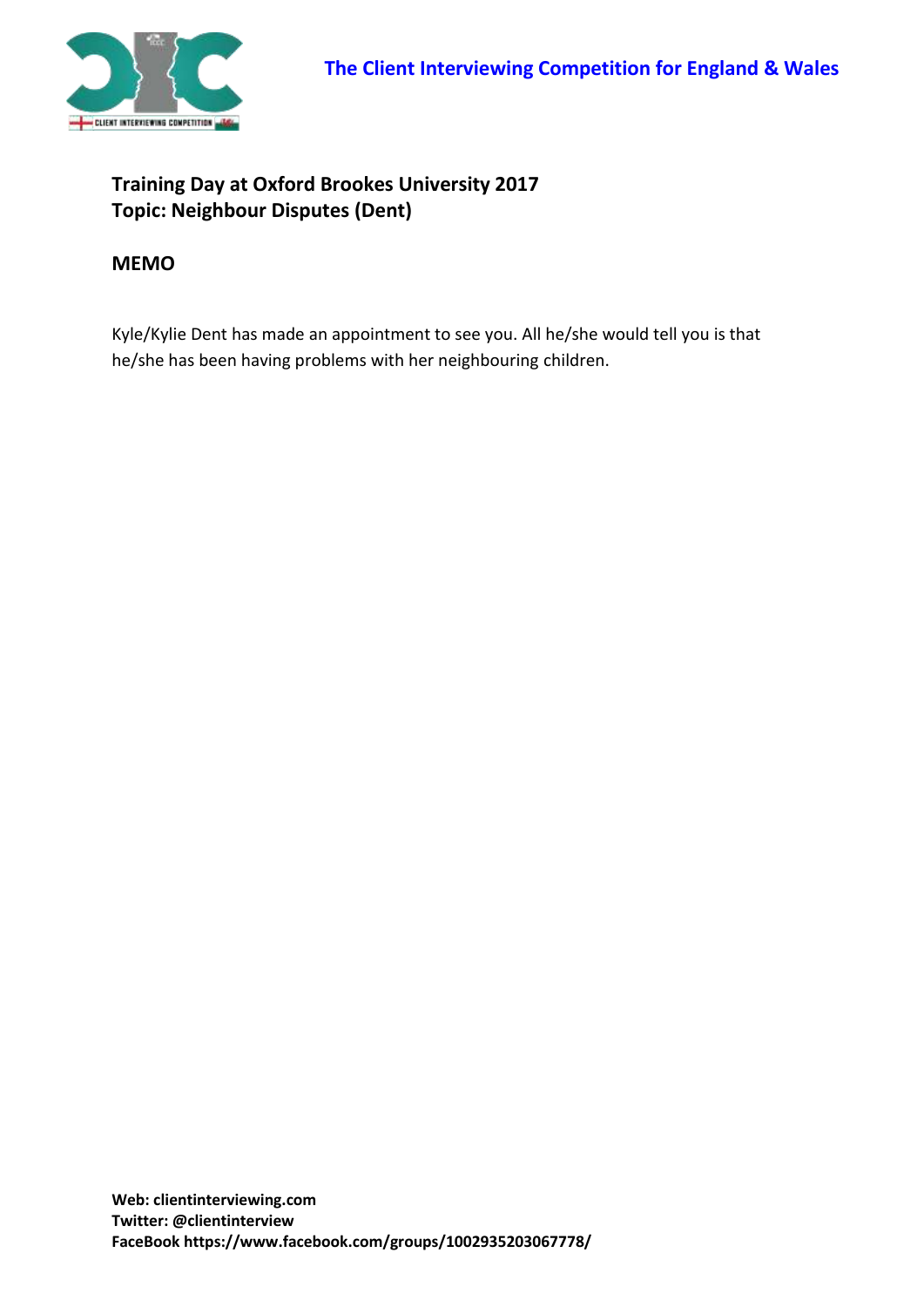

## **Training Day at Oxford Brookes University 2017 Topic: Neighbour Disputes (Dent)**

## **MEMO**

Kyle/Kylie Dent has made an appointment to see you. All he/she would tell you is that he/she has been having problems with her neighbouring children.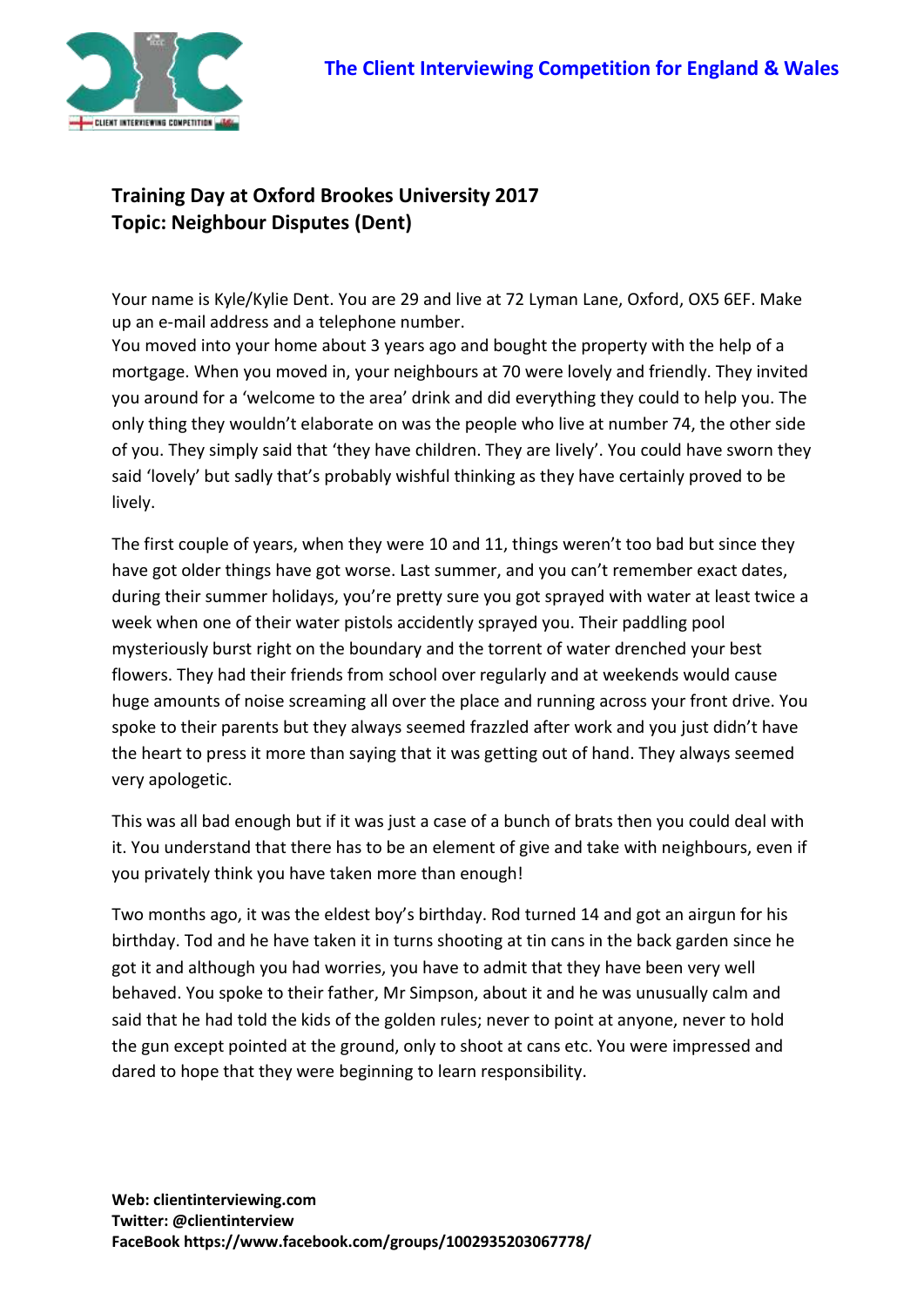

## **Training Day at Oxford Brookes University 2017 Topic: Neighbour Disputes (Dent)**

Your name is Kyle/Kylie Dent. You are 29 and live at 72 Lyman Lane, Oxford, OX5 6EF. Make up an e-mail address and a telephone number.

You moved into your home about 3 years ago and bought the property with the help of a mortgage. When you moved in, your neighbours at 70 were lovely and friendly. They invited you around for a 'welcome to the area' drink and did everything they could to help you. The only thing they wouldn't elaborate on was the people who live at number 74, the other side of you. They simply said that 'they have children. They are lively'. You could have sworn they said 'lovely' but sadly that's probably wishful thinking as they have certainly proved to be lively.

The first couple of years, when they were 10 and 11, things weren't too bad but since they have got older things have got worse. Last summer, and you can't remember exact dates, during their summer holidays, you're pretty sure you got sprayed with water at least twice a week when one of their water pistols accidently sprayed you. Their paddling pool mysteriously burst right on the boundary and the torrent of water drenched your best flowers. They had their friends from school over regularly and at weekends would cause huge amounts of noise screaming all over the place and running across your front drive. You spoke to their parents but they always seemed frazzled after work and you just didn't have the heart to press it more than saying that it was getting out of hand. They always seemed very apologetic.

This was all bad enough but if it was just a case of a bunch of brats then you could deal with it. You understand that there has to be an element of give and take with neighbours, even if you privately think you have taken more than enough!

Two months ago, it was the eldest boy's birthday. Rod turned 14 and got an airgun for his birthday. Tod and he have taken it in turns shooting at tin cans in the back garden since he got it and although you had worries, you have to admit that they have been very well behaved. You spoke to their father, Mr Simpson, about it and he was unusually calm and said that he had told the kids of the golden rules; never to point at anyone, never to hold the gun except pointed at the ground, only to shoot at cans etc. You were impressed and dared to hope that they were beginning to learn responsibility.